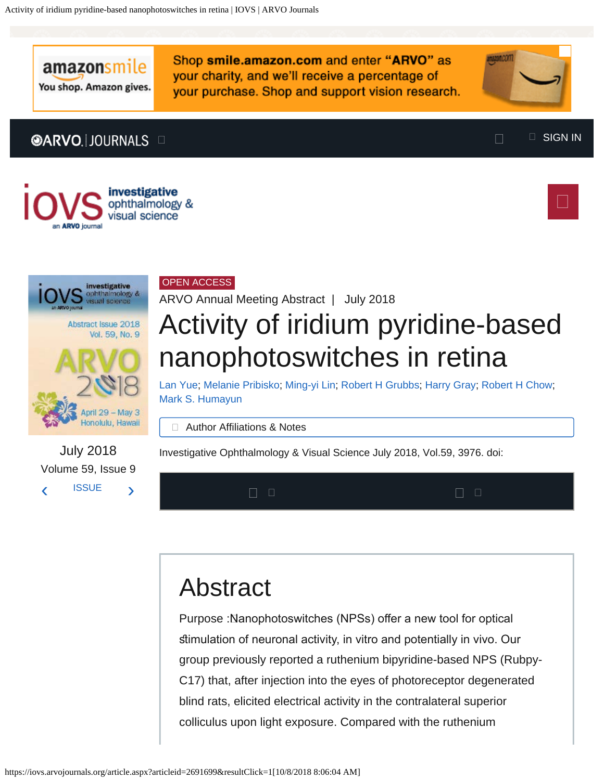amazonsmile

You shop. Amazon gives.

Shop smile.amazon.com and enter "ARVO" as your charity, and we'll receive a percentage of your purchase. Shop and support vision research.

**Imagniticom** 









[‹](https://iovs.arvojournals.org/article.aspx?articleid=2693500) [ISSUE](https://iovs.arvojournals.org/issue.aspx?issueid=937405&journalid=177) [›](https://iovs.arvojournals.org/article.aspx?articleid=2691700)

July 2018 Volume 59, Issue 9

### OPEN ACCESS

ARVO Annual Meeting Abstract | July 2018

# Activity of iridium pyridine-based nanophotoswitches in retina

[Lan Yue;](https://iovs.arvojournals.org/solr/searchresults.aspx?author=Lan+Yue) [Melanie Pribisko](https://iovs.arvojournals.org/solr/searchresults.aspx?author=Melanie+Pribisko); [Ming-yi Lin](https://iovs.arvojournals.org/solr/searchresults.aspx?author=Ming-yi+Lin); [Robert H Grubbs](https://iovs.arvojournals.org/solr/searchresults.aspx?author=Robert+H+Grubbs); [Harry Gray](https://iovs.arvojournals.org/solr/searchresults.aspx?author=Harry+Gray); [Robert H Chow](https://iovs.arvojournals.org/solr/searchresults.aspx?author=Robert+H+Chow); [Mark S. Humayun](https://iovs.arvojournals.org/solr/searchresults.aspx?author=Mark+S.+Humayun)

□ Author Affiliations & Notes

Investigative Ophthalmology & Visual Science July 2018, Vol.59, 3976. doi:



## Abstract

Purpose :Nanophotoswitches (NPSs) offer a new tool for optical simulation of neuronal activity, in vitro and potentially in vivo. Our group previously reported a ruthenium bipyridine-based NPS (Rubpy-C17) that, after injection into the eyes of photoreceptor degenerated blind rats, elicited electrical activity in the contralateral superior colliculus upon light exposure. Compared with the ruthenium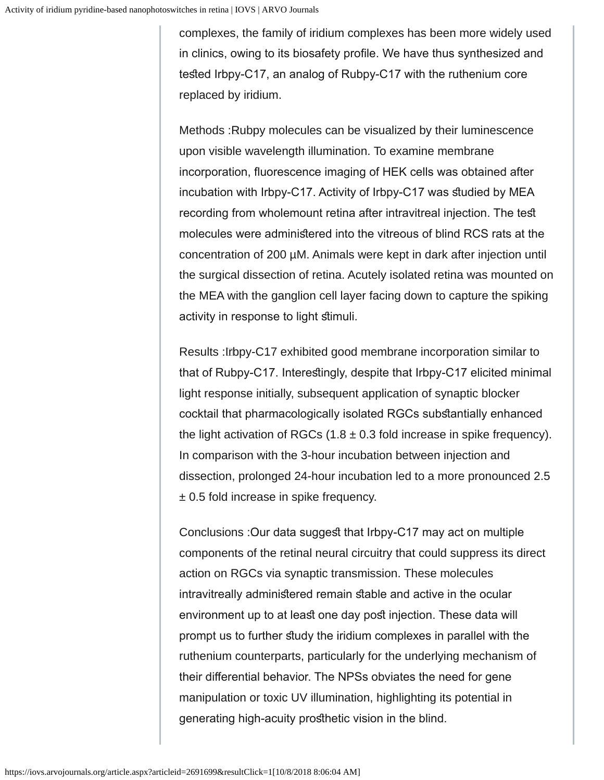complexes, the family of iridium complexes has been more widely used in clinics, owing to its biosafety profle. We have thus synthesized and tested Irbpy-C17, an analog of Rubpy-C17 with the ruthenium core replaced by iridium.

Methods : Rubpy molecules can be visualized by their luminescence upon visible wavelength illumination. To examine membrane incorporation, fuorescence imaging of HEK cells was obtained after incubation with Irbpy-C17. Activity of Irbpy-C17 was studied by MEA recording from wholemount retina after intravitreal injection. The test molecules were administered into the vitreous of blind RCS rats at the concentration of 200 µM. Animals were kept in dark after injection until the surgical dissection of retina. Acutely isolated retina was mounted on the MEA with the ganglion cell layer facing down to capture the spiking activity in response to light stimuli.

Results : Irbpy-C17 exhibited good membrane incorporation similar to that of Rubpy-C17. Interesingly, despite that Irbpy-C17 elicited minimal light response initially, subsequent application of synaptic blocker cocktail that pharmacologically isolated RGCs substantially enhanced the light activation of RGCs  $(1.8 \pm 0.3 \text{ fold increase in spike frequency}).$ In comparison with the 3-hour incubation between injection and dissection, prolonged 24-hour incubation led to a more pronounced 2.5 ± 0.5 fold increase in spike frequency.

Conclusions :Our data suggest that Irbpy-C17 may act on multiple components of the retinal neural circuitry that could suppress its direct action on RGCs via synaptic transmission. These molecules intravitreally administered remain stable and active in the ocular environment up to at least one day post injection. These data will prompt us to further study the iridium complexes in parallel with the ruthenium counterparts, particularly for the underlying mechanism of their diferential behavior. The NPSs obviates the need for gene manipulation or toxic UV illumination, highlighting its potential in generating high-acuity prosthetic vision in the blind.